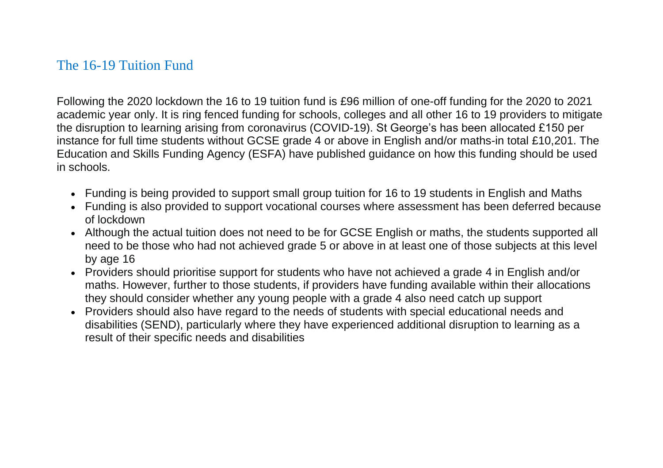## The 16-19 Tuition Fund

Following the 2020 lockdown the 16 to 19 tuition fund is £96 million of one-off funding for the 2020 to 2021 academic year only. It is ring fenced funding for schools, colleges and all other 16 to 19 providers to mitigate the disruption to learning arising from coronavirus (COVID-19). St George's has been allocated £150 per instance for full time students without GCSE grade 4 or above in English and/or maths-in total £10,201. The Education and Skills Funding Agency (ESFA) have published guidance on how this funding should be used in schools.

- Funding is being provided to support small group tuition for 16 to 19 students in English and Maths
- Funding is also provided to support vocational courses where assessment has been deferred because of lockdown
- Although the actual tuition does not need to be for GCSE English or maths, the students supported all need to be those who had not achieved grade 5 or above in at least one of those subjects at this level by age 16
- Providers should prioritise support for students who have not achieved a grade 4 in English and/or maths. However, further to those students, if providers have funding available within their allocations they should consider whether any young people with a grade 4 also need catch up support
- Providers should also have regard to the needs of students with special educational needs and disabilities (SEND), particularly where they have experienced additional disruption to learning as a result of their specific needs and disabilities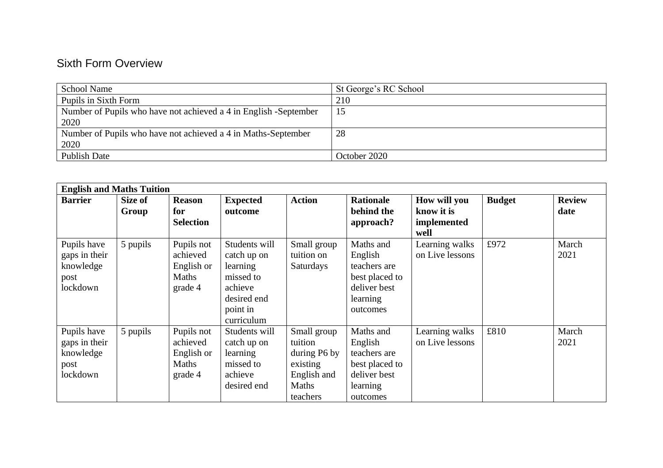## Sixth Form Overview

| <b>School Name</b>                                               | St George's RC School |
|------------------------------------------------------------------|-----------------------|
| Pupils in Sixth Form                                             | 210                   |
| Number of Pupils who have not achieved a 4 in English -September | 15                    |
| 2020                                                             |                       |
| Number of Pupils who have not achieved a 4 in Maths-September    | 28                    |
| 2020                                                             |                       |
| <b>Publish Date</b>                                              | October 2020          |

| <b>English and Maths Tuition</b>                              |                  |                                                                 |                                                                                                           |                                                                                        |                                                                                                |                                                   |               |                       |  |
|---------------------------------------------------------------|------------------|-----------------------------------------------------------------|-----------------------------------------------------------------------------------------------------------|----------------------------------------------------------------------------------------|------------------------------------------------------------------------------------------------|---------------------------------------------------|---------------|-----------------------|--|
| <b>Barrier</b>                                                | Size of<br>Group | <b>Reason</b><br>for<br><b>Selection</b>                        | <b>Expected</b><br>outcome                                                                                | <b>Action</b>                                                                          | <b>Rationale</b><br>behind the<br>approach?                                                    | How will you<br>know it is<br>implemented<br>well | <b>Budget</b> | <b>Review</b><br>date |  |
| Pupils have<br>gaps in their<br>knowledge<br>post<br>lockdown | 5 pupils         | Pupils not<br>achieved<br>English or<br><b>Maths</b><br>grade 4 | Students will<br>catch up on<br>learning<br>missed to<br>achieve<br>desired end<br>point in<br>curriculum | Small group<br>tuition on<br><b>Saturdays</b>                                          | Maths and<br>English<br>teachers are<br>best placed to<br>deliver best<br>learning<br>outcomes | Learning walks<br>on Live lessons                 | £972          | March<br>2021         |  |
| Pupils have<br>gaps in their<br>knowledge<br>post<br>lockdown | 5 pupils         | Pupils not<br>achieved<br>English or<br>Maths<br>grade 4        | Students will<br>catch up on<br>learning<br>missed to<br>achieve<br>desired end                           | Small group<br>tuition<br>during P6 by<br>existing<br>English and<br>Maths<br>teachers | Maths and<br>English<br>teachers are<br>best placed to<br>deliver best<br>learning<br>outcomes | Learning walks<br>on Live lessons                 | £810          | March<br>2021         |  |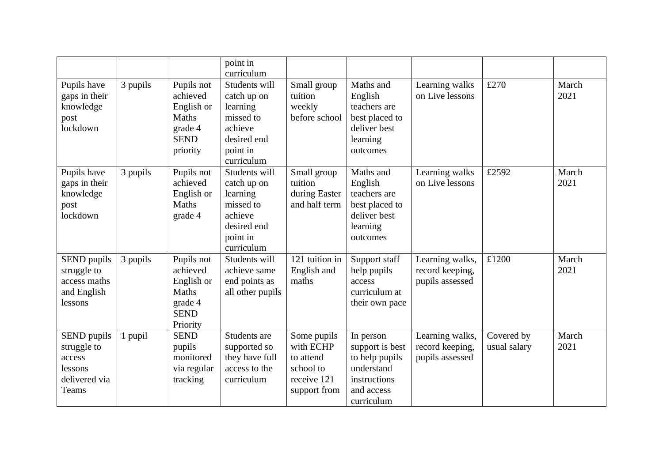|                                                                           |          |                                                                                            | point in<br>curriculum                                                                                    |                                                                                   |                                                                                                          |                                                       |                            |               |
|---------------------------------------------------------------------------|----------|--------------------------------------------------------------------------------------------|-----------------------------------------------------------------------------------------------------------|-----------------------------------------------------------------------------------|----------------------------------------------------------------------------------------------------------|-------------------------------------------------------|----------------------------|---------------|
| Pupils have<br>gaps in their<br>knowledge<br>post<br>lockdown             | 3 pupils | Pupils not<br>achieved<br>English or<br><b>Maths</b><br>grade 4<br><b>SEND</b><br>priority | Students will<br>catch up on<br>learning<br>missed to<br>achieve<br>desired end<br>point in<br>curriculum | Small group<br>tuition<br>weekly<br>before school                                 | Maths and<br>English<br>teachers are<br>best placed to<br>deliver best<br>learning<br>outcomes           | Learning walks<br>on Live lessons                     | £270                       | March<br>2021 |
| Pupils have<br>gaps in their<br>knowledge<br>post<br>lockdown             | 3 pupils | Pupils not<br>achieved<br>English or<br>Maths<br>grade 4                                   | Students will<br>catch up on<br>learning<br>missed to<br>achieve<br>desired end<br>point in<br>curriculum | Small group<br>tuition<br>during Easter<br>and half term                          | Maths and<br>English<br>teachers are<br>best placed to<br>deliver best<br>learning<br>outcomes           | Learning walks<br>on Live lessons                     | £2592                      | March<br>2021 |
| SEND pupils<br>struggle to<br>access maths<br>and English<br>lessons      | 3 pupils | Pupils not<br>achieved<br>English or<br>Maths<br>grade 4<br><b>SEND</b><br>Priority        | Students will<br>achieve same<br>end points as<br>all other pupils                                        | 121 tuition in<br>English and<br>maths                                            | Support staff<br>help pupils<br>access<br>curriculum at<br>their own pace                                | Learning walks,<br>record keeping,<br>pupils assessed | £1200                      | March<br>2021 |
| SEND pupils<br>struggle to<br>access<br>lessons<br>delivered via<br>Teams | 1 pupil  | <b>SEND</b><br>pupils<br>monitored<br>via regular<br>tracking                              | Students are<br>supported so<br>they have full<br>access to the<br>curriculum                             | Some pupils<br>with ECHP<br>to attend<br>school to<br>receive 121<br>support from | In person<br>support is best<br>to help pupils<br>understand<br>instructions<br>and access<br>curriculum | Learning walks,<br>record keeping,<br>pupils assessed | Covered by<br>usual salary | March<br>2021 |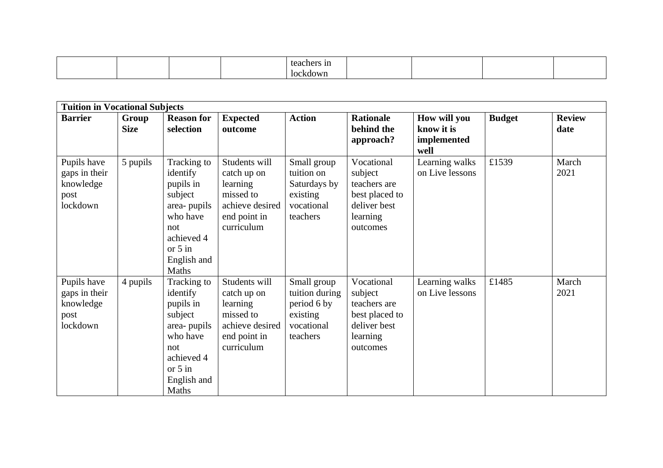|--|--|--|--|

| <b>Tuition in Vocational Subjects</b>                         |                      |                                                                                                                                       |                                                                                                        |                                                                                    |                                                                                                 |                                                   |               |                       |  |
|---------------------------------------------------------------|----------------------|---------------------------------------------------------------------------------------------------------------------------------------|--------------------------------------------------------------------------------------------------------|------------------------------------------------------------------------------------|-------------------------------------------------------------------------------------------------|---------------------------------------------------|---------------|-----------------------|--|
| <b>Barrier</b>                                                | Group<br><b>Size</b> | <b>Reason for</b><br>selection                                                                                                        | <b>Expected</b><br>outcome                                                                             | <b>Action</b>                                                                      | <b>Rationale</b><br>behind the<br>approach?                                                     | How will you<br>know it is<br>implemented<br>well | <b>Budget</b> | <b>Review</b><br>date |  |
| Pupils have<br>gaps in their<br>knowledge<br>post<br>lockdown | 5 pupils             | Tracking to<br>identify<br>pupils in<br>subject<br>area-pupils<br>who have<br>not<br>achieved 4<br>or $5$ in<br>English and<br>Maths  | Students will<br>catch up on<br>learning<br>missed to<br>achieve desired<br>end point in<br>curriculum | Small group<br>tuition on<br>Saturdays by<br>existing<br>vocational<br>teachers    | Vocational<br>subject<br>teachers are<br>best placed to<br>deliver best<br>learning<br>outcomes | Learning walks<br>on Live lessons                 | £1539         | March<br>2021         |  |
| Pupils have<br>gaps in their<br>knowledge<br>post<br>lockdown | 4 pupils             | Tracking to<br>identify<br>pupils in<br>subject<br>area- pupils<br>who have<br>not<br>achieved 4<br>or $5$ in<br>English and<br>Maths | Students will<br>catch up on<br>learning<br>missed to<br>achieve desired<br>end point in<br>curriculum | Small group<br>tuition during<br>period 6 by<br>existing<br>vocational<br>teachers | Vocational<br>subject<br>teachers are<br>best placed to<br>deliver best<br>learning<br>outcomes | Learning walks<br>on Live lessons                 | £1485         | March<br>2021         |  |